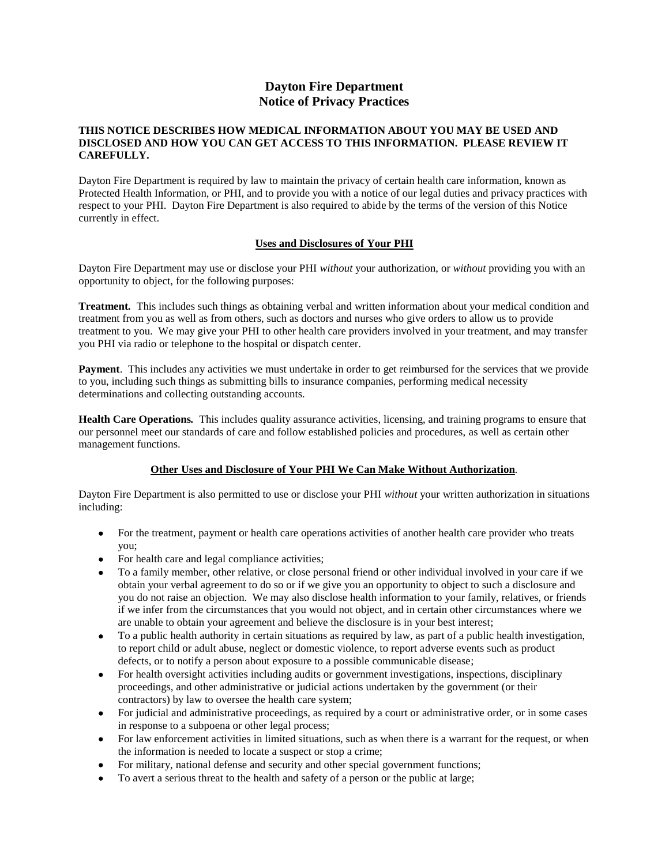# **Dayton Fire Department Notice of Privacy Practices**

#### **THIS NOTICE DESCRIBES HOW MEDICAL INFORMATION ABOUT YOU MAY BE USED AND DISCLOSED AND HOW YOU CAN GET ACCESS TO THIS INFORMATION. PLEASE REVIEW IT CAREFULLY.**

Dayton Fire Department is required by law to maintain the privacy of certain health care information, known as Protected Health Information, or PHI, and to provide you with a notice of our legal duties and privacy practices with respect to your PHI. Dayton Fire Department is also required to abide by the terms of the version of this Notice currently in effect.

## **Uses and Disclosures of Your PHI**

Dayton Fire Department may use or disclose your PHI *without* your authorization, or *without* providing you with an opportunity to object, for the following purposes:

**Treatment***.* This includes such things as obtaining verbal and written information about your medical condition and treatment from you as well as from others, such as doctors and nurses who give orders to allow us to provide treatment to you. We may give your PHI to other health care providers involved in your treatment, and may transfer you PHI via radio or telephone to the hospital or dispatch center.

**Payment**. This includes any activities we must undertake in order to get reimbursed for the services that we provide to you, including such things as submitting bills to insurance companies, performing medical necessity determinations and collecting outstanding accounts.

**Health Care Operations***.* This includes quality assurance activities, licensing, and training programs to ensure that our personnel meet our standards of care and follow established policies and procedures, as well as certain other management functions.

## **Other Uses and Disclosure of Your PHI We Can Make Without Authorization***.*

Dayton Fire Department is also permitted to use or disclose your PHI *without* your written authorization in situations including:

- For the treatment, payment or health care operations activities of another health care provider who treats you;
- For health care and legal compliance activities;
- To a family member, other relative, or close personal friend or other individual involved in your care if we obtain your verbal agreement to do so or if we give you an opportunity to object to such a disclosure and you do not raise an objection. We may also disclose health information to your family, relatives, or friends if we infer from the circumstances that you would not object, and in certain other circumstances where we are unable to obtain your agreement and believe the disclosure is in your best interest;
- To a public health authority in certain situations as required by law, as part of a public health investigation, to report child or adult abuse, neglect or domestic violence, to report adverse events such as product defects, or to notify a person about exposure to a possible communicable disease;
- For health oversight activities including audits or government investigations, inspections, disciplinary proceedings, and other administrative or judicial actions undertaken by the government (or their contractors) by law to oversee the health care system;
- For judicial and administrative proceedings, as required by a court or administrative order, or in some cases in response to a subpoena or other legal process;
- For law enforcement activities in limited situations, such as when there is a warrant for the request, or when the information is needed to locate a suspect or stop a crime;
- For military, national defense and security and other special government functions;
- To avert a serious threat to the health and safety of a person or the public at large;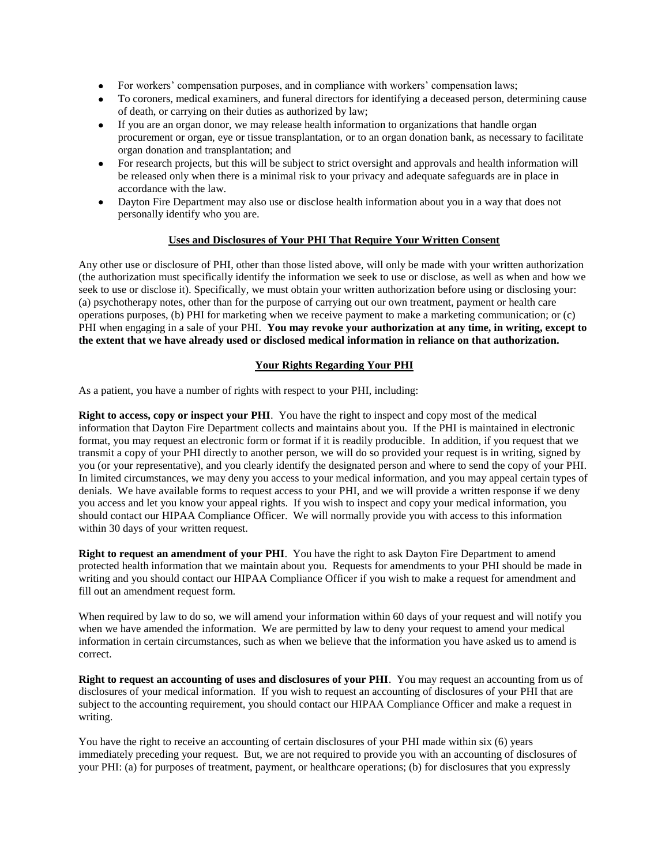- For workers' compensation purposes, and in compliance with workers' compensation laws;
- To coroners, medical examiners, and funeral directors for identifying a deceased person, determining cause of death, or carrying on their duties as authorized by law;
- If you are an organ donor, we may release health information to organizations that handle organ procurement or organ, eye or tissue transplantation, or to an organ donation bank, as necessary to facilitate organ donation and transplantation; and
- For research projects, but this will be subject to strict oversight and approvals and health information will be released only when there is a minimal risk to your privacy and adequate safeguards are in place in accordance with the law.
- Dayton Fire Department may also use or disclose health information about you in a way that does not personally identify who you are.

# **Uses and Disclosures of Your PHI That Require Your Written Consent**

Any other use or disclosure of PHI, other than those listed above, will only be made with your written authorization (the authorization must specifically identify the information we seek to use or disclose, as well as when and how we seek to use or disclose it). Specifically, we must obtain your written authorization before using or disclosing your: (a) psychotherapy notes, other than for the purpose of carrying out our own treatment, payment or health care operations purposes, (b) PHI for marketing when we receive payment to make a marketing communication; or (c) PHI when engaging in a sale of your PHI. **You may revoke your authorization at any time, in writing, except to the extent that we have already used or disclosed medical information in reliance on that authorization.**

# **Your Rights Regarding Your PHI**

As a patient, you have a number of rights with respect to your PHI, including:

**Right to access, copy or inspect your PHI**. You have the right to inspect and copy most of the medical information that Dayton Fire Department collects and maintains about you. If the PHI is maintained in electronic format, you may request an electronic form or format if it is readily producible. In addition, if you request that we transmit a copy of your PHI directly to another person, we will do so provided your request is in writing, signed by you (or your representative), and you clearly identify the designated person and where to send the copy of your PHI. In limited circumstances, we may deny you access to your medical information, and you may appeal certain types of denials. We have available forms to request access to your PHI, and we will provide a written response if we deny you access and let you know your appeal rights. If you wish to inspect and copy your medical information, you should contact our HIPAA Compliance Officer. We will normally provide you with access to this information within 30 days of your written request.

**Right to request an amendment of your PHI**. You have the right to ask Dayton Fire Department to amend protected health information that we maintain about you. Requests for amendments to your PHI should be made in writing and you should contact our HIPAA Compliance Officer if you wish to make a request for amendment and fill out an amendment request form.

When required by law to do so, we will amend your information within 60 days of your request and will notify you when we have amended the information. We are permitted by law to deny your request to amend your medical information in certain circumstances, such as when we believe that the information you have asked us to amend is correct.

**Right to request an accounting of uses and disclosures of your PHI**. You may request an accounting from us of disclosures of your medical information. If you wish to request an accounting of disclosures of your PHI that are subject to the accounting requirement, you should contact our HIPAA Compliance Officer and make a request in writing.

You have the right to receive an accounting of certain disclosures of your PHI made within six (6) years immediately preceding your request. But, we are not required to provide you with an accounting of disclosures of your PHI: (a) for purposes of treatment, payment, or healthcare operations; (b) for disclosures that you expressly